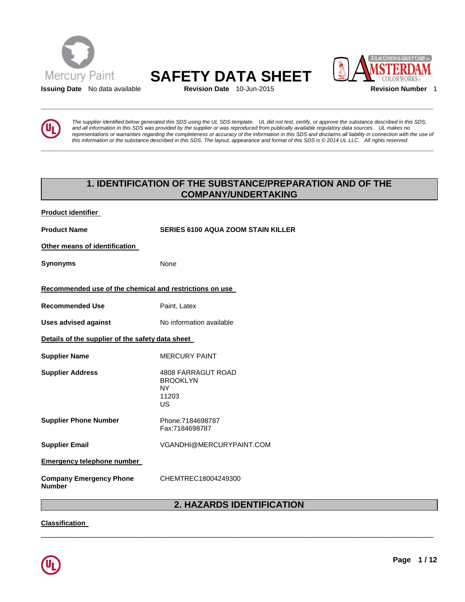

# Mercury Paint **SAFETY DATA SHEET**<br> **SAFETY DATA SHEET**

**\_\_\_\_\_\_\_\_\_\_\_\_\_\_\_\_\_\_\_\_\_\_\_\_\_\_\_\_\_\_\_\_\_\_\_\_\_\_\_\_\_\_\_\_\_\_\_\_\_\_\_\_\_\_\_\_\_\_\_\_\_\_\_\_\_\_\_\_\_\_\_\_\_\_\_\_\_\_\_\_\_\_\_\_\_\_\_\_\_\_\_\_\_** 

**\_\_\_\_\_\_\_\_\_\_\_\_\_\_\_\_\_\_\_\_\_\_\_\_\_\_\_\_\_\_\_\_\_\_\_\_\_\_\_\_\_\_\_\_\_\_\_\_\_\_\_\_\_\_\_\_\_\_\_\_\_\_\_\_\_\_\_\_\_\_\_\_\_\_\_\_\_\_\_\_\_\_\_\_\_\_\_\_\_\_\_\_\_** 





*The supplier identified below generated this SDS using the UL SDS template. UL did not test, certify, or approve the substance described in this SDS, and all information in this SDS was provided by the supplier or was reproduced from publically available regulatory data sources. UL makes no representations or warranties regarding the completeness or accuracy of the information in this SDS and disclaims all liability in connection with the use of this information or the substance described in this SDS. The layout, appearance and format of this SDS is © 2014 UL LLC. All rights reserved.* 

# **1. IDENTIFICATION OF THE SUBSTANCE/PREPARATION AND OF THE COMPANY/UNDERTAKING**

| <b>Product identifier</b>                               |                                                                          |  |
|---------------------------------------------------------|--------------------------------------------------------------------------|--|
| <b>Product Name</b>                                     | <b>SERIES 6100 AQUA ZOOM STAIN KILLER</b>                                |  |
| Other means of identification                           |                                                                          |  |
| Synonyms                                                | None                                                                     |  |
| Recommended use of the chemical and restrictions on use |                                                                          |  |
| <b>Recommended Use</b>                                  | Paint, Latex                                                             |  |
| <b>Uses advised against</b>                             | No information available                                                 |  |
| Details of the supplier of the safety data sheet        |                                                                          |  |
| <b>Supplier Name</b>                                    | <b>MERCURY PAINT</b>                                                     |  |
| <b>Supplier Address</b>                                 | <b>4808 FARRAGUT ROAD</b><br><b>BROOKLYN</b><br><b>NY</b><br>11203<br>US |  |
| <b>Supplier Phone Number</b>                            | Phone:7184698787<br>Fax:7184698787                                       |  |
| <b>Supplier Email</b>                                   | VGANDHI@MERCURYPAINT.COM                                                 |  |
| <b>Emergency telephone number</b>                       |                                                                          |  |
| <b>Company Emergency Phone</b><br>Number                | CHEMTREC18004249300                                                      |  |

# **2. HAZARDS IDENTIFICATION**

\_\_\_\_\_\_\_\_\_\_\_\_\_\_\_\_\_\_\_\_\_\_\_\_\_\_\_\_\_\_\_\_\_\_\_\_\_\_\_\_\_\_\_\_\_\_\_\_\_\_\_\_\_\_\_\_\_\_\_\_\_\_\_\_\_\_\_\_\_\_\_\_\_\_\_\_\_\_\_\_\_\_\_\_\_\_\_\_\_\_\_\_\_

**Classification** 

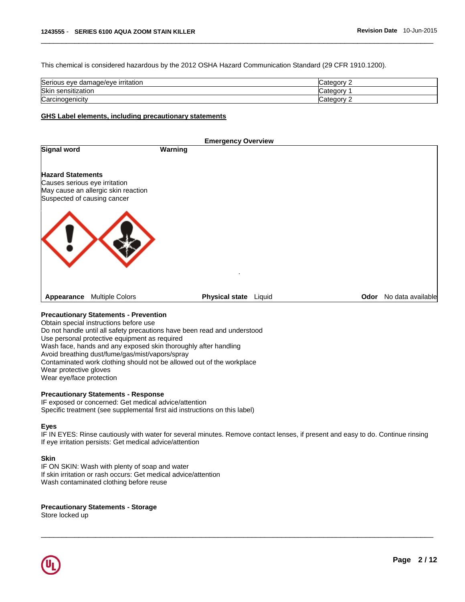This chemical is considered hazardous by the 2012 OSHA Hazard Communication Standard (29 CFR 1910.1200).

| Serious eye<br>edamage/eve irritation { | ∵ategoryٽ |
|-----------------------------------------|-----------|
| Skin<br>$\cdots$<br>sensitization       | Categor   |
| Carcinogenicity                         | ∵ategorس  |

\_\_\_\_\_\_\_\_\_\_\_\_\_\_\_\_\_\_\_\_\_\_\_\_\_\_\_\_\_\_\_\_\_\_\_\_\_\_\_\_\_\_\_\_\_\_\_\_\_\_\_\_\_\_\_\_\_\_\_\_\_\_\_\_\_\_\_\_\_\_\_\_\_\_\_\_\_\_\_\_\_\_\_\_\_\_\_\_\_\_\_\_\_

#### **GHS Label elements, including precautionary statements**

| Odor No data available |
|------------------------|
|                        |

# **Precautionary Statements - Prevention**

Obtain special instructions before use Do not handle until all safety precautions have been read and understood Use personal protective equipment as required Wash face, hands and any exposed skin thoroughly after handling Avoid breathing dust/fume/gas/mist/vapors/spray Contaminated work clothing should not be allowed out of the workplace Wear protective gloves Wear eye/face protection

## **Precautionary Statements - Response**

IF exposed or concerned: Get medical advice/attention Specific treatment (see supplemental first aid instructions on this label)

#### **Eyes**

IF IN EYES: Rinse cautiously with water for several minutes. Remove contact lenses, if present and easy to do. Continue rinsing If eye irritation persists: Get medical advice/attention

\_\_\_\_\_\_\_\_\_\_\_\_\_\_\_\_\_\_\_\_\_\_\_\_\_\_\_\_\_\_\_\_\_\_\_\_\_\_\_\_\_\_\_\_\_\_\_\_\_\_\_\_\_\_\_\_\_\_\_\_\_\_\_\_\_\_\_\_\_\_\_\_\_\_\_\_\_\_\_\_\_\_\_\_\_\_\_\_\_\_\_\_\_

#### **Skin**

IF ON SKIN: Wash with plenty of soap and water If skin irritation or rash occurs: Get medical advice/attention Wash contaminated clothing before reuse

#### **Precautionary Statements - Storage**

Store locked up

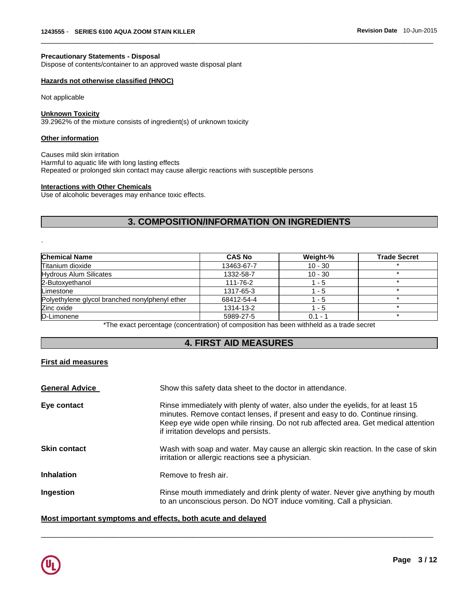#### **Precautionary Statements - Disposal**

Dispose of contents/container to an approved waste disposal plant

## **Hazards not otherwise classified (HNOC)**

Not applicable

#### **Unknown Toxicity**

39.2962% of the mixture consists of ingredient(s) of unknown toxicity

#### **Other information**

.

Causes mild skin irritation Harmful to aquatic life with long lasting effects Repeated or prolonged skin contact may cause allergic reactions with susceptible persons

#### **Interactions with Other Chemicals**

Use of alcoholic beverages may enhance toxic effects.

# **3. COMPOSITION/INFORMATION ON INGREDIENTS**

\_\_\_\_\_\_\_\_\_\_\_\_\_\_\_\_\_\_\_\_\_\_\_\_\_\_\_\_\_\_\_\_\_\_\_\_\_\_\_\_\_\_\_\_\_\_\_\_\_\_\_\_\_\_\_\_\_\_\_\_\_\_\_\_\_\_\_\_\_\_\_\_\_\_\_\_\_\_\_\_\_\_\_\_\_\_\_\_\_\_\_\_\_

| <b>Chemical Name</b>                           | <b>CAS No</b> | Weight-%  | <b>Trade Secret</b> |
|------------------------------------------------|---------------|-----------|---------------------|
| Titanium dioxide                               | 13463-67-7    | $10 - 30$ |                     |
| <b>Hydrous Alum Silicates</b>                  | 1332-58-7     | $10 - 30$ |                     |
| 2-Butoxyethanol                                | 111-76-2      | 1 - 5     |                     |
| Limestone                                      | 1317-65-3     | 1 - 5     |                     |
| Polyethylene glycol branched nonylphenyl ether | 68412-54-4    | $1 - 5$   |                     |
| Zinc oxide                                     | 1314-13-2     | 1 - 5     |                     |
| D-Limonene                                     | 5989-27-5     | $0.1 - 1$ |                     |

\*The exact percentage (concentration) of composition has been withheld as a trade secret

# **4. FIRST AID MEASURES**

# **First aid measures**

| <b>General Advice</b> | Show this safety data sheet to the doctor in attendance.                                                                                                                                                                                                                                     |
|-----------------------|----------------------------------------------------------------------------------------------------------------------------------------------------------------------------------------------------------------------------------------------------------------------------------------------|
| Eye contact           | Rinse immediately with plenty of water, also under the eyelids, for at least 15<br>minutes. Remove contact lenses, if present and easy to do. Continue rinsing.<br>Keep eye wide open while rinsing. Do not rub affected area. Get medical attention<br>if irritation develops and persists. |
| <b>Skin contact</b>   | Wash with soap and water. May cause an allergic skin reaction. In the case of skin<br>irritation or allergic reactions see a physician.                                                                                                                                                      |
| <b>Inhalation</b>     | Remove to fresh air.                                                                                                                                                                                                                                                                         |
| Ingestion             | Rinse mouth immediately and drink plenty of water. Never give anything by mouth<br>to an unconscious person. Do NOT induce vomiting. Call a physician.                                                                                                                                       |

\_\_\_\_\_\_\_\_\_\_\_\_\_\_\_\_\_\_\_\_\_\_\_\_\_\_\_\_\_\_\_\_\_\_\_\_\_\_\_\_\_\_\_\_\_\_\_\_\_\_\_\_\_\_\_\_\_\_\_\_\_\_\_\_\_\_\_\_\_\_\_\_\_\_\_\_\_\_\_\_\_\_\_\_\_\_\_\_\_\_\_\_\_

# **Most important symptoms and effects, both acute and delayed**

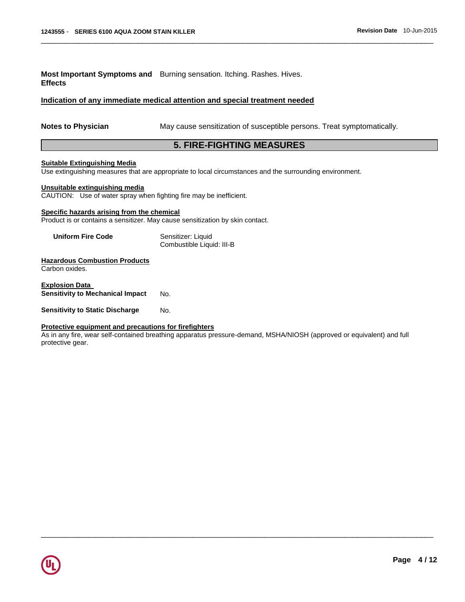**Most Important Symptoms and**  Burning sensation. Itching. Rashes. Hives. **Effects** 

## **Indication of any immediate medical attention and special treatment needed**

**Notes to Physician** May cause sensitization of susceptible persons. Treat symptomatically.

# **5. FIRE-FIGHTING MEASURES**

\_\_\_\_\_\_\_\_\_\_\_\_\_\_\_\_\_\_\_\_\_\_\_\_\_\_\_\_\_\_\_\_\_\_\_\_\_\_\_\_\_\_\_\_\_\_\_\_\_\_\_\_\_\_\_\_\_\_\_\_\_\_\_\_\_\_\_\_\_\_\_\_\_\_\_\_\_\_\_\_\_\_\_\_\_\_\_\_\_\_\_\_\_

#### **Suitable Extinguishing Media**

Use extinguishing measures that are appropriate to local circumstances and the surrounding environment.

# **Unsuitable extinguishing media**

CAUTION: Use of water spray when fighting fire may be inefficient.

#### **Specific hazards arising from the chemical**

Product is or contains a sensitizer. May cause sensitization by skin contact.

| <b>Uniform Fire Code</b> | Sensitizer: Liquid        |
|--------------------------|---------------------------|
|                          | Combustible Liquid: III-B |

# **Hazardous Combustion Products**

Carbon oxides.

**Explosion Data Sensitivity to Mechanical Impact No.** 

**Sensitivity to Static Discharge Mo.** 

#### **Protective equipment and precautions for firefighters**

As in any fire, wear self-contained breathing apparatus pressure-demand, MSHA/NIOSH (approved or equivalent) and full protective gear.

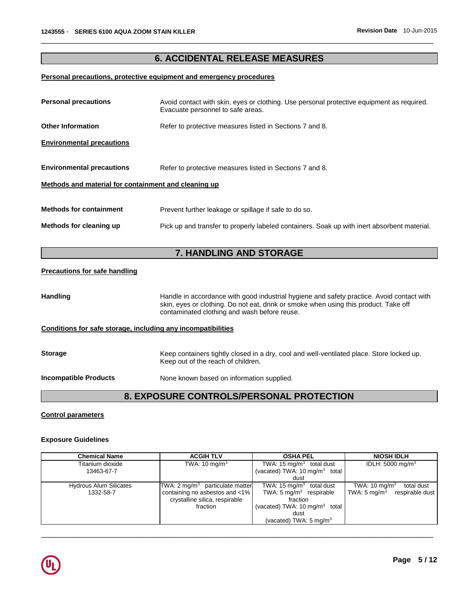# **6. ACCIDENTAL RELEASE MEASURES**

\_\_\_\_\_\_\_\_\_\_\_\_\_\_\_\_\_\_\_\_\_\_\_\_\_\_\_\_\_\_\_\_\_\_\_\_\_\_\_\_\_\_\_\_\_\_\_\_\_\_\_\_\_\_\_\_\_\_\_\_\_\_\_\_\_\_\_\_\_\_\_\_\_\_\_\_\_\_\_\_\_\_\_\_\_\_\_\_\_\_\_\_\_

## **Personal precautions, protective equipment and emergency procedures**

| <b>Personal precautions</b>                          | Avoid contact with skin, eyes or clothing. Use personal protective equipment as required.<br>Evacuate personnel to safe areas. |  |
|------------------------------------------------------|--------------------------------------------------------------------------------------------------------------------------------|--|
| <b>Other Information</b>                             | Refer to protective measures listed in Sections 7 and 8.                                                                       |  |
| <b>Environmental precautions</b>                     |                                                                                                                                |  |
| <b>Environmental precautions</b>                     | Refer to protective measures listed in Sections 7 and 8.                                                                       |  |
| Methods and material for containment and cleaning up |                                                                                                                                |  |
| <b>Methods for containment</b>                       | Prevent further leakage or spillage if safe to do so.                                                                          |  |
| Methods for cleaning up                              | Pick up and transfer to properly labeled containers. Soak up with inert absorbent material.                                    |  |
| <b>7. HANDLING AND STORAGE</b>                       |                                                                                                                                |  |
| <b>Precautions for safe handling</b>                 |                                                                                                                                |  |

Handling **Handle in accordance with good industrial hygiene and safety practice. Avoid contact with** skin, eyes or clothing. Do not eat, drink or smoke when using this product. Take off contaminated clothing and wash before reuse.

# **Conditions for safe storage, including any incompatibilities**

| <b>Storage</b>               | Keep containers tightly closed in a dry, cool and well-ventilated place. Store locked up.<br>Keep out of the reach of children. |
|------------------------------|---------------------------------------------------------------------------------------------------------------------------------|
| <b>Incompatible Products</b> | None known based on information supplied.                                                                                       |

# **8. EXPOSURE CONTROLS/PERSONAL PROTECTION**

## **Control parameters**

#### **Exposure Guidelines**

| <b>Chemical Name</b>          | <b>ACGIH TLV</b>                           | <b>OSHA PEL</b>                             | <b>NIOSH IDLH</b>                          |
|-------------------------------|--------------------------------------------|---------------------------------------------|--------------------------------------------|
| Titanium dioxide              | TWA: $10 \text{ mg/m}^3$                   | TWA: 15 mg/m <sup>3</sup> total dust        | IDLH: $5000 \text{ mg/m}^3$                |
| 13463-67-7                    |                                            | (vacated) TWA: $10 \text{ mg/m}^3$ total    |                                            |
|                               |                                            | dust                                        |                                            |
| <b>Hydrous Alum Silicates</b> | TWA: $2 \text{ mq/m}^3$ particulate matter | TWA: $15 \text{ mg/m}^3$<br>total dust      | TWA: $10 \text{ mg/m}^3$<br>total dust     |
| 1332-58-7                     | containing no asbestos and <1%             | TWA: $5 \text{ mg/m}^3$ respirable          | TWA: $5 \text{ mg/m}^3$<br>respirable dust |
|                               | crystalline silica, respirable             | fraction                                    |                                            |
|                               | fraction                                   | (vacated) TWA: $10 \text{ mg/m}^3$<br>total |                                            |
|                               |                                            | dust                                        |                                            |
|                               |                                            | (vacated) TWA: $5 \text{ mg/m}^3$           |                                            |

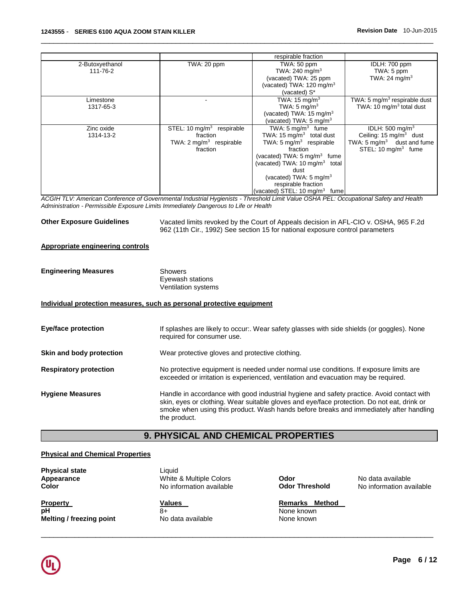|                 |                                         | respirable fraction                      |                                          |
|-----------------|-----------------------------------------|------------------------------------------|------------------------------------------|
| 2-Butoxyethanol | TWA: 20 ppm                             | TWA: 50 ppm                              | IDLH: 700 ppm                            |
| 111-76-2        |                                         | TWA: 240 mg/m $3$                        | TWA: 5 ppm                               |
|                 |                                         | (vacated) TWA: 25 ppm                    | TWA: 24 mg/m <sup>3</sup>                |
|                 |                                         | (vacated) TWA: $120 \text{ mg/m}^3$      |                                          |
|                 |                                         | (vacated) S*                             |                                          |
| Limestone       |                                         | TWA: 15 mg/m <sup>3</sup>                | TWA: 5 mg/m <sup>3</sup> respirable dust |
| 1317-65-3       |                                         | TWA: $5 \text{ mg/m}^3$                  | TWA: 10 $mq/m3$ total dust               |
|                 |                                         | (vacated) TWA: $15 \text{ mg/m}^3$       |                                          |
|                 |                                         | (vacated) TWA: 5 mg/m <sup>3</sup>       |                                          |
| Zinc oxide      | STEL: $10 \text{ mg/m}^3$<br>respirable | TWA: $5 \text{ mg/m}^3$ fume             | IDLH: $500 \text{ mg/m}^3$               |
| 1314-13-2       | fraction                                | TWA: 15 mg/m <sup>3</sup> total dust     | Ceiling: $15 \text{ mg/m}^3$ dust        |
|                 | TWA: $2 \text{ mg/m}^3$ respirable      | TWA: 5 mg/m <sup>3</sup> respirable      | TWA: $5 \text{ mg/m}^3$ dust and fume    |
|                 | fraction                                | fraction                                 | STEL: $10 \text{ mg/m}^3$ fume           |
|                 |                                         | (vacated) TWA: $5 \text{ mg/m}^3$ fume   |                                          |
|                 |                                         | (vacated) TWA: 10 mg/m $3$ total         |                                          |
|                 |                                         | dust                                     |                                          |
|                 |                                         | (vacated) TWA: 5 mg/m <sup>3</sup>       |                                          |
|                 |                                         | respirable fraction                      |                                          |
|                 |                                         | (vacated) STEL: $10 \text{ mg/m}^3$ fume |                                          |

\_\_\_\_\_\_\_\_\_\_\_\_\_\_\_\_\_\_\_\_\_\_\_\_\_\_\_\_\_\_\_\_\_\_\_\_\_\_\_\_\_\_\_\_\_\_\_\_\_\_\_\_\_\_\_\_\_\_\_\_\_\_\_\_\_\_\_\_\_\_\_\_\_\_\_\_\_\_\_\_\_\_\_\_\_\_\_\_\_\_\_\_\_

*ACGIH TLV: American Conference of Governmental Industrial Hygienists - Threshold Limit Value OSHA PEL: Occupational Safety and Health Administration - Permissible Exposure Limits Immediately Dangerous to Life or Health* 

**Other Exposure Guidelines** Vacated limits revoked by the Court of Appeals decision in AFL-CIO v. OSHA, 965 F.2d 962 (11th Cir., 1992) See section 15 for national exposure control parameters

## **Appropriate engineering controls**

| <b>Engineering Measures</b> | Showers             |
|-----------------------------|---------------------|
|                             | Eyewash stations    |
|                             | Ventilation systems |

#### **Individual protection measures, such as personal protective equipment**

| <b>Eye/face protection</b>    | If splashes are likely to occur:. Wear safety glasses with side shields (or goggles). None<br>required for consumer use.                                                                                                                                                                          |
|-------------------------------|---------------------------------------------------------------------------------------------------------------------------------------------------------------------------------------------------------------------------------------------------------------------------------------------------|
| Skin and body protection      | Wear protective gloves and protective clothing.                                                                                                                                                                                                                                                   |
| <b>Respiratory protection</b> | No protective equipment is needed under normal use conditions. If exposure limits are<br>exceeded or irritation is experienced, ventilation and evacuation may be required.                                                                                                                       |
| <b>Hygiene Measures</b>       | Handle in accordance with good industrial hygiene and safety practice. Avoid contact with<br>skin, eyes or clothing. Wear suitable gloves and eye/face protection. Do not eat, drink or<br>smoke when using this product. Wash hands before breaks and immediately after handling<br>the product. |

# **9. PHYSICAL AND CHEMICAL PROPERTIES**

# **Physical and Chemical Properties**

| <b>Physical state</b><br>Appearance<br><b>Color</b> | Liauid<br>White & Multiple Colors<br>No information available | Odor<br><b>Odor Threshold</b>          | No data available<br>No information available |
|-----------------------------------------------------|---------------------------------------------------------------|----------------------------------------|-----------------------------------------------|
| <b>Property</b><br>рH                               | Values<br>8+                                                  | Method<br><b>Remarks</b><br>None known |                                               |
| Melting / freezing point                            | No data available                                             | None known                             |                                               |

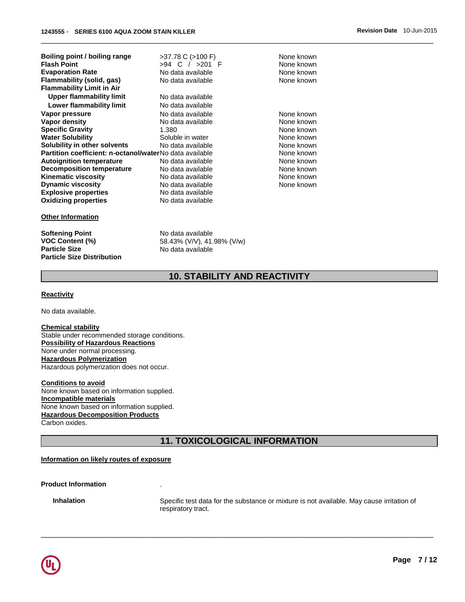| Boiling point / boiling range                           | $>37.78$ C ( $>100$ F) | None known |
|---------------------------------------------------------|------------------------|------------|
| <b>Flash Point</b>                                      | >94 C / >201 F         | None known |
| <b>Evaporation Rate</b>                                 | No data available      | None known |
| Flammability (solid, gas)                               | No data available      | None known |
| <b>Flammability Limit in Air</b>                        |                        |            |
| Upper flammability limit                                | No data available      |            |
| <b>Lower flammability limit</b>                         | No data available      |            |
| Vapor pressure                                          | No data available      | None known |
| Vapor density                                           | No data available      | None known |
| <b>Specific Gravity</b>                                 | 1.380                  | None known |
| <b>Water Solubility</b>                                 | Soluble in water       | None known |
| Solubility in other solvents                            | No data available      | None known |
| Partition coefficient: n-octanol/waterNo data available |                        | None known |
| <b>Autoignition temperature</b>                         | No data available      | None known |
| <b>Decomposition temperature</b>                        | No data available      | None known |
| <b>Kinematic viscosity</b>                              | No data available      | None known |
| <b>Dynamic viscosity</b>                                | No data available      | None known |
| <b>Explosive properties</b>                             | No data available      |            |
| <b>Oxidizing properties</b>                             | No data available      |            |

#### **Other Information**

**Softening Point No data available**<br>**VOC Content (%)** 58.43% (V/V), 41. **Particle Size No data available Particle Size Distribution** 

58.43% (V/V), 41.98% (V/w)

# **10. STABILITY AND REACTIVITY**

\_\_\_\_\_\_\_\_\_\_\_\_\_\_\_\_\_\_\_\_\_\_\_\_\_\_\_\_\_\_\_\_\_\_\_\_\_\_\_\_\_\_\_\_\_\_\_\_\_\_\_\_\_\_\_\_\_\_\_\_\_\_\_\_\_\_\_\_\_\_\_\_\_\_\_\_\_\_\_\_\_\_\_\_\_\_\_\_\_\_\_\_\_

#### **Reactivity**

No data available.

#### **Chemical stability**

Stable under recommended storage conditions. **Possibility of Hazardous Reactions** None under normal processing. **Hazardous Polymerization** Hazardous polymerization does not occur.

**Conditions to avoid** None known based on information supplied. **Incompatible materials** None known based on information supplied. **Hazardous Decomposition Products** Carbon oxides.

# **11. TOXICOLOGICAL INFORMATION**

\_\_\_\_\_\_\_\_\_\_\_\_\_\_\_\_\_\_\_\_\_\_\_\_\_\_\_\_\_\_\_\_\_\_\_\_\_\_\_\_\_\_\_\_\_\_\_\_\_\_\_\_\_\_\_\_\_\_\_\_\_\_\_\_\_\_\_\_\_\_\_\_\_\_\_\_\_\_\_\_\_\_\_\_\_\_\_\_\_\_\_\_\_

#### **Information on likely routes of exposure**

#### **Product Information** .

**Inhalation Specific test data for the substance or mixture is not available. May cause irritation of** respiratory tract.

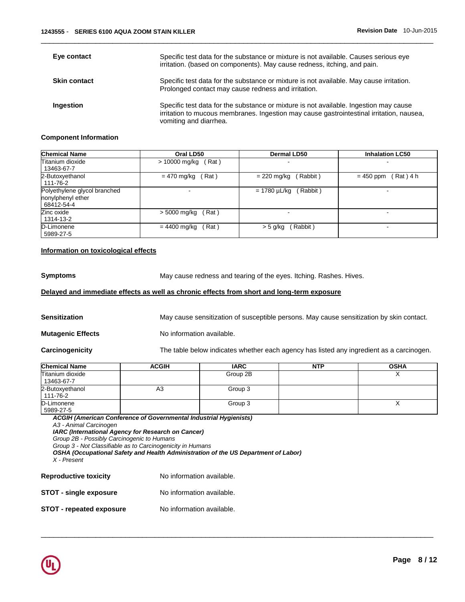| Eye contact         | Specific test data for the substance or mixture is not available. Causes serious eye<br>irritation. (based on components). May cause redness, itching, and pain.                                            |
|---------------------|-------------------------------------------------------------------------------------------------------------------------------------------------------------------------------------------------------------|
| <b>Skin contact</b> | Specific test data for the substance or mixture is not available. May cause irritation.<br>Prolonged contact may cause redness and irritation.                                                              |
| Ingestion           | Specific test data for the substance or mixture is not available. Ingestion may cause<br>irritation to mucous membranes. Ingestion may cause gastrointestinal irritation, nausea,<br>vomiting and diarrhea. |

\_\_\_\_\_\_\_\_\_\_\_\_\_\_\_\_\_\_\_\_\_\_\_\_\_\_\_\_\_\_\_\_\_\_\_\_\_\_\_\_\_\_\_\_\_\_\_\_\_\_\_\_\_\_\_\_\_\_\_\_\_\_\_\_\_\_\_\_\_\_\_\_\_\_\_\_\_\_\_\_\_\_\_\_\_\_\_\_\_\_\_\_\_

# **Component Information**

| <b>Chemical Name</b>                                            | Oral LD50              | <b>Dermal LD50</b>       | <b>Inhalation LC50</b>  |
|-----------------------------------------------------------------|------------------------|--------------------------|-------------------------|
| Titanium dioxide<br>13463-67-7                                  | (Rat)<br>> 10000 mg/kg |                          |                         |
| 2-Butoxyethanol<br>111-76-2                                     | (Rat)<br>= 470 mg/kg   | Rabbit)<br>$= 220$ mg/kg | (Rat)4 h<br>$= 450$ ppm |
| Polyethylene glycol branched<br>nonylphenyl ether<br>68412-54-4 |                        | (Rabbit)<br>= 1780 µL/kg |                         |
| Zinc oxide<br>1314-13-2                                         | > 5000 mg/kg<br>(Rat)  |                          |                         |
| D-Limonene<br>5989-27-5                                         | (Rat)<br>= 4400 mg/kg  | (Rabbit)<br>$>$ 5 g/kg   | -                       |

# **Information on toxicological effects**

**Symptoms** May cause redness and tearing of the eyes. Itching. Rashes. Hives.

# **Delayed and immediate effects as well as chronic effects from short and long-term exposure**

| <b>Sensitization</b>     | May cause sensitization of susceptible persons. May cause sensitization by skin contact. |
|--------------------------|------------------------------------------------------------------------------------------|
| <b>Mutagenic Effects</b> | No information available.                                                                |
| Carcinogenicity          | The table below indicates whether each agency has listed any ingredient as a carcinogen. |

| <b>Chemical Name</b>           | <b>ACGIH</b> | <b>IARC</b> | <b>NTP</b> | <b>OSHA</b> |
|--------------------------------|--------------|-------------|------------|-------------|
| Titanium dioxide<br>13463-67-7 |              | Group 2B    |            |             |
| 2-Butoxyethanol<br>111-76-2    | A3           | Group 3     |            |             |
| D-Limonene<br>5989-27-5        |              | Group 3     |            |             |

\_\_\_\_\_\_\_\_\_\_\_\_\_\_\_\_\_\_\_\_\_\_\_\_\_\_\_\_\_\_\_\_\_\_\_\_\_\_\_\_\_\_\_\_\_\_\_\_\_\_\_\_\_\_\_\_\_\_\_\_\_\_\_\_\_\_\_\_\_\_\_\_\_\_\_\_\_\_\_\_\_\_\_\_\_\_\_\_\_\_\_\_\_

*ACGIH (American Conference of Governmental Industrial Hygienists) A3 - Animal Carcinogen* 

*IARC (International Agency for Research on Cancer)*

*Group 2B - Possibly Carcinogenic to Humans*

*Group 3 - Not Classifiable as to Carcinogenicity in Humans* 

*OSHA (Occupational Safety and Health Administration of the US Department of Labor)*

*X - Present* 

| <b>Reproductive toxicity</b>    | No information available. |
|---------------------------------|---------------------------|
| <b>STOT - single exposure</b>   | No information available. |
| <b>STOT - repeated exposure</b> | No information available. |

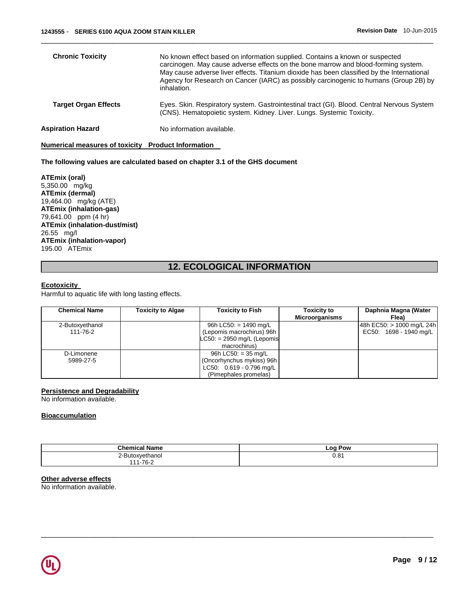| <b>Chronic Toxicity</b>     | No known effect based on information supplied. Contains a known or suspected<br>carcinogen. May cause adverse effects on the bone marrow and blood-forming system.<br>May cause adverse liver effects. Titanium dioxide has been classified by the International<br>Agency for Research on Cancer (IARC) as possibly carcinogenic to humans (Group 2B) by<br>inhalation. |
|-----------------------------|--------------------------------------------------------------------------------------------------------------------------------------------------------------------------------------------------------------------------------------------------------------------------------------------------------------------------------------------------------------------------|
| <b>Target Organ Effects</b> | Eyes. Skin. Respiratory system. Gastrointestinal tract (GI). Blood. Central Nervous System<br>(CNS). Hematopoietic system. Kidney. Liver. Lungs. Systemic Toxicity.                                                                                                                                                                                                      |
| Aspiration Hazard           | No information available.                                                                                                                                                                                                                                                                                                                                                |

\_\_\_\_\_\_\_\_\_\_\_\_\_\_\_\_\_\_\_\_\_\_\_\_\_\_\_\_\_\_\_\_\_\_\_\_\_\_\_\_\_\_\_\_\_\_\_\_\_\_\_\_\_\_\_\_\_\_\_\_\_\_\_\_\_\_\_\_\_\_\_\_\_\_\_\_\_\_\_\_\_\_\_\_\_\_\_\_\_\_\_\_\_

**Numerical measures of toxicity Product Information** 

#### **The following values are calculated based on chapter 3.1 of the GHS document**

**ATEmix (oral)** 5,350.00 mg/kg **ATEmix (dermal)** 19,464.00 mg/kg (ATE) **ATEmix (inhalation-gas)** 79,641.00 ppm (4 hr) **ATEmix (inhalation-dust/mist)** 26.55 mg/l **ATEmix (inhalation-vapor)** 195.00 ATEmix

# **12. ECOLOGICAL INFORMATION**

#### **Ecotoxicity**

Harmful to aquatic life with long lasting effects.

| <b>Chemical Name</b> | <b>Toxicity to Algae</b> | <b>Toxicity to Fish</b>      | <b>Toxicity to</b><br><b>Microorganisms</b> | Daphnia Magna (Water<br>Flea) |
|----------------------|--------------------------|------------------------------|---------------------------------------------|-------------------------------|
| 2-Butoxyethanol      |                          | 96h LC50: $= 1490$ mg/L      |                                             | 48h EC50: > 1000 mg/L 24h     |
| 111-76-2             |                          | (Lepomis macrochirus) 96h    |                                             | EC50: 1698 - 1940 mg/L        |
|                      |                          | $LC50: = 2950$ mg/L (Lepomis |                                             |                               |
|                      |                          | macrochirus)                 |                                             |                               |
| D-Limonene           |                          | 96h LC50: $=$ 35 mg/L        |                                             |                               |
| 5989-27-5            |                          | (Oncorhynchus mykiss) 96h    |                                             |                               |
|                      |                          | LC50: 0.619 - 0.796 mg/L     |                                             |                               |
|                      |                          | (Pimephales promelas)        |                                             |                               |

## **Persistence and Degradability**

No information available.

## **Bioaccumulation**

| <b>Chemical Name</b> | ∣ Pow<br>LO <sub>C</sub> |
|----------------------|--------------------------|
| 2-Butoxyethanol      | 0.81                     |
| 1-76-2<br>444        |                          |

\_\_\_\_\_\_\_\_\_\_\_\_\_\_\_\_\_\_\_\_\_\_\_\_\_\_\_\_\_\_\_\_\_\_\_\_\_\_\_\_\_\_\_\_\_\_\_\_\_\_\_\_\_\_\_\_\_\_\_\_\_\_\_\_\_\_\_\_\_\_\_\_\_\_\_\_\_\_\_\_\_\_\_\_\_\_\_\_\_\_\_\_\_

## **Other adverse effects**

No information available.

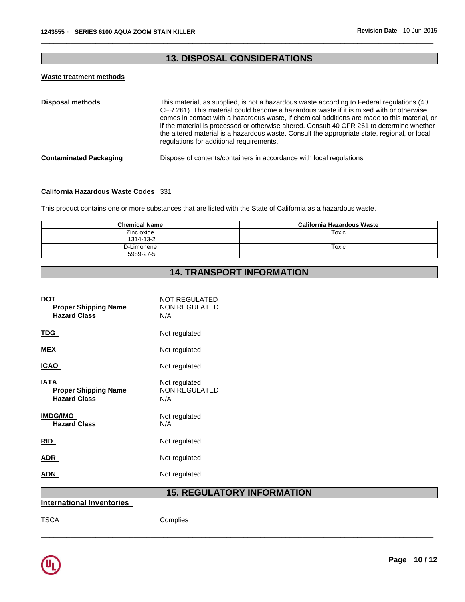# **13. DISPOSAL CONSIDERATIONS**

\_\_\_\_\_\_\_\_\_\_\_\_\_\_\_\_\_\_\_\_\_\_\_\_\_\_\_\_\_\_\_\_\_\_\_\_\_\_\_\_\_\_\_\_\_\_\_\_\_\_\_\_\_\_\_\_\_\_\_\_\_\_\_\_\_\_\_\_\_\_\_\_\_\_\_\_\_\_\_\_\_\_\_\_\_\_\_\_\_\_\_\_\_

# **Waste treatment methods**

| <b>Disposal methods</b>       | This material, as supplied, is not a hazardous waste according to Federal regulations (40<br>CFR 261). This material could become a hazardous waste if it is mixed with or otherwise<br>comes in contact with a hazardous waste, if chemical additions are made to this material, or<br>if the material is processed or otherwise altered. Consult 40 CFR 261 to determine whether<br>the altered material is a hazardous waste. Consult the appropriate state, regional, or local<br>regulations for additional requirements. |
|-------------------------------|--------------------------------------------------------------------------------------------------------------------------------------------------------------------------------------------------------------------------------------------------------------------------------------------------------------------------------------------------------------------------------------------------------------------------------------------------------------------------------------------------------------------------------|
| <b>Contaminated Packaging</b> | Dispose of contents/containers in accordance with local regulations.                                                                                                                                                                                                                                                                                                                                                                                                                                                           |

## **California Hazardous Waste Codes** 331

This product contains one or more substances that are listed with the State of California as a hazardous waste.

| <b>Chemical Name</b>    | California Hazardous Waste |
|-------------------------|----------------------------|
| Zinc oxide<br>1314-13-2 | Toxic                      |
| D-Limonene<br>5989-27-5 | Toxic                      |

# **14. TRANSPORT INFORMATION**

| DOT<br><b>Proper Shipping Name</b><br><b>Hazard Class</b>  | NOT REGULATED<br><b>NON REGULATED</b><br>N/A |
|------------------------------------------------------------|----------------------------------------------|
| TDG.                                                       | Not regulated                                |
| MEX                                                        | Not regulated                                |
| ICAO                                                       | Not regulated                                |
| IATA<br><b>Proper Shipping Name</b><br><b>Hazard Class</b> | Not regulated<br><b>NON REGULATED</b><br>N/A |
| <b>IMDG/IMO</b><br><b>Hazard Class</b>                     | Not regulated<br>N/A                         |
| <b>RID</b>                                                 | Not regulated                                |
| ADR.                                                       | Not regulated                                |
| ADN                                                        | Not regulated                                |
|                                                            |                                              |

# **15. REGULATORY INFORMATION**

\_\_\_\_\_\_\_\_\_\_\_\_\_\_\_\_\_\_\_\_\_\_\_\_\_\_\_\_\_\_\_\_\_\_\_\_\_\_\_\_\_\_\_\_\_\_\_\_\_\_\_\_\_\_\_\_\_\_\_\_\_\_\_\_\_\_\_\_\_\_\_\_\_\_\_\_\_\_\_\_\_\_\_\_\_\_\_\_\_\_\_\_\_

**International Inventories** 

TSCA Complies

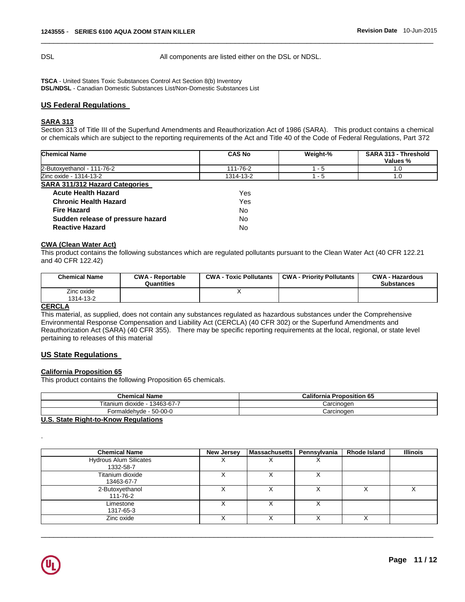DSL All components are listed either on the DSL or NDSL.

\_\_\_\_\_\_\_\_\_\_\_\_\_\_\_\_\_\_\_\_\_\_\_\_\_\_\_\_\_\_\_\_\_\_\_\_\_\_\_\_\_\_\_\_\_\_\_\_\_\_\_\_\_\_\_\_\_\_\_\_\_\_\_\_\_\_\_\_\_\_\_\_\_\_\_\_\_\_\_\_\_\_\_\_\_\_\_\_\_\_\_\_\_

**TSCA** - United States Toxic Substances Control Act Section 8(b) Inventory **DSL/NDSL** - Canadian Domestic Substances List/Non-Domestic Substances List

## **US Federal Regulations**

## **SARA 313**

Section 313 of Title III of the Superfund Amendments and Reauthorization Act of 1986 (SARA). This product contains a chemical or chemicals which are subject to the reporting requirements of the Act and Title 40 of the Code of Federal Regulations, Part 372

| <b>Chemical Name</b>                  | <b>CAS No</b>  | Weight-% | <b>SARA 313 - Threshold</b><br>Values % |
|---------------------------------------|----------------|----------|-----------------------------------------|
| 2-Butoxvethanol - 111-76-2            | 111-76-2       | $1 - 5$  | .O                                      |
| Zinc oxide - 1314-13-2                | 1314-13-2      | 1 - 5    | .O                                      |
| <b>SARA 311/312 Hazard Categories</b> |                |          |                                         |
| A arrived Law Life Liberard           | \ <i>I</i> - - |          |                                         |

| <b>Acute Health Hazard</b>        | Yes. |
|-----------------------------------|------|
| <b>Chronic Health Hazard</b>      | Yes  |
| <b>Fire Hazard</b>                | No.  |
| Sudden release of pressure hazard | Nο   |
| <b>Reactive Hazard</b>            | N∩   |

#### **CWA (Clean Water Act)**

This product contains the following substances which are regulated pollutants pursuant to the Clean Water Act (40 CFR 122.21 and 40 CFR 122.42)

| <b>Chemical Name</b> | <b>CWA - Reportable</b><br>Quantities | <b>CWA - Toxic Pollutants</b> | <b>CWA - Priority Pollutants</b> | <b>CWA - Hazardous</b><br><b>Substances</b> |
|----------------------|---------------------------------------|-------------------------------|----------------------------------|---------------------------------------------|
| Zinc oxide           |                                       |                               |                                  |                                             |
| 1314-13-2            |                                       |                               |                                  |                                             |
| $\cdots$             |                                       |                               |                                  |                                             |

#### **CERCLA**

This material, as supplied, does not contain any substances regulated as hazardous substances under the Comprehensive Environmental Response Compensation and Liability Act (CERCLA) (40 CFR 302) or the Superfund Amendments and Reauthorization Act (SARA) (40 CFR 355). There may be specific reporting requirements at the local, regional, or state level pertaining to releases of this material

## **US State Regulations**

# **California Proposition 65**

This product contains the following Proposition 65 chemicals.

| <b>Chemical Name</b>                 | <b>California Proposition 65</b> |
|--------------------------------------|----------------------------------|
| Titanium dioxide - 13463-67-7        | Carcinoɑen                       |
| Formaldehyde - 50-00-0               | Carcinoɑen                       |
| U.S. State Right-to-Know Regulations |                                  |

| <b>Chemical Name</b>                       | <b>New Jersey</b> | <b>Massachusetts</b> | Pennsylvania | <b>Rhode Island</b> | <b>Illinois</b> |
|--------------------------------------------|-------------------|----------------------|--------------|---------------------|-----------------|
| <b>Hydrous Alum Silicates</b><br>1332-58-7 | ⋏                 |                      | ⋏            |                     |                 |
| Titanium dioxide<br>13463-67-7             |                   |                      |              |                     |                 |
| 2-Butoxyethanol<br>111-76-2                |                   |                      |              |                     |                 |
| Limestone<br>1317-65-3                     | х                 |                      |              |                     |                 |
| Zinc oxide                                 |                   |                      |              |                     |                 |

\_\_\_\_\_\_\_\_\_\_\_\_\_\_\_\_\_\_\_\_\_\_\_\_\_\_\_\_\_\_\_\_\_\_\_\_\_\_\_\_\_\_\_\_\_\_\_\_\_\_\_\_\_\_\_\_\_\_\_\_\_\_\_\_\_\_\_\_\_\_\_\_\_\_\_\_\_\_\_\_\_\_\_\_\_\_\_\_\_\_\_\_\_



.